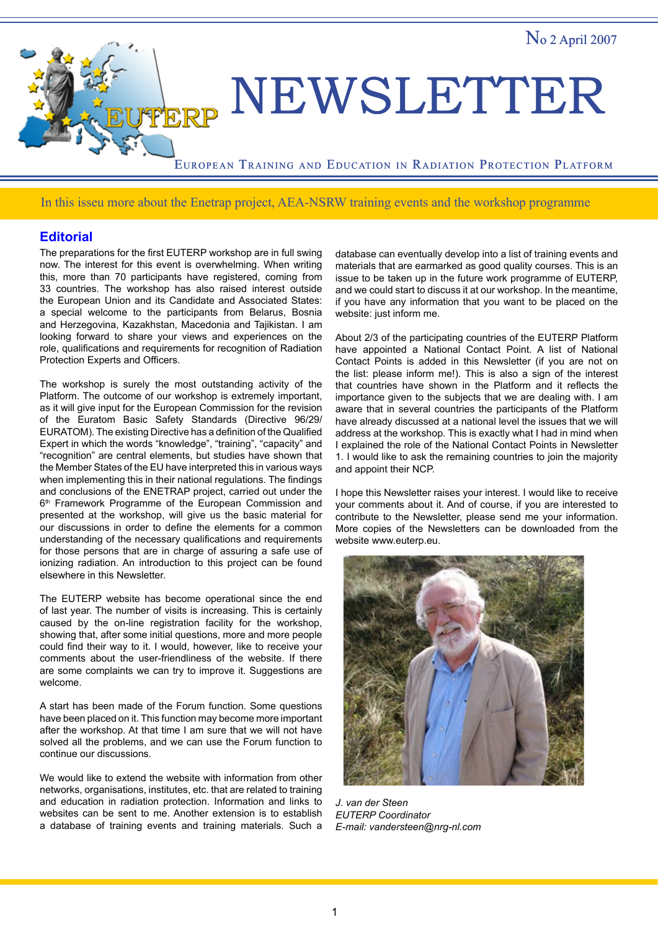

## In this isseu more about the Enetrap project, AEA-NSRW training events and the workshop programme

## **Editorial**

The preparations for the first EUTERP workshop are in full swing now. The interest for this event is overwhelming. When writing this, more than 70 participants have registered, coming from 33 countries. The workshop has also raised interest outside the European Union and its Candidate and Associated States: a special welcome to the participants from Belarus, Bosnia and Herzegovina, Kazakhstan, Macedonia and Tajikistan. I am looking forward to share your views and experiences on the role, qualifications and requirements for recognition of Radiation Protection Experts and Officers.

The workshop is surely the most outstanding activity of the Platform. The outcome of our workshop is extremely important, as it will give input for the European Commission for the revision of the Euratom Basic Safety Standards (Directive 96/29/ EURATOM). The existing Directive has a definition of the Qualified Expert in which the words "knowledge", "training", "capacity" and "recognition" are central elements, but studies have shown that the Member States of the EU have interpreted this in various ways when implementing this in their national regulations. The findings and conclusions of the ENETRAP project, carried out under the 6<sup>th</sup> Framework Programme of the European Commission and presented at the workshop, will give us the basic material for our discussions in order to define the elements for a common understanding of the necessary qualifications and requirements for those persons that are in charge of assuring a safe use of ionizing radiation. An introduction to this project can be found elsewhere in this Newsletter.

The EUTERP website has become operational since the end of last year. The number of visits is increasing. This is certainly caused by the on-line registration facility for the workshop, showing that, after some initial questions, more and more people could find their way to it. I would, however, like to receive your comments about the user-friendliness of the website. If there are some complaints we can try to improve it. Suggestions are welcome.

A start has been made of the Forum function. Some questions have been placed on it. This function may become more important after the workshop. At that time I am sure that we will not have solved all the problems, and we can use the Forum function to continue our discussions.

We would like to extend the website with information from other networks, organisations, institutes, etc. that are related to training and education in radiation protection. Information and links to websites can be sent to me. Another extension is to establish a database of training events and training materials. Such a

database can eventually develop into a list of training events and materials that are earmarked as good quality courses. This is an issue to be taken up in the future work programme of EUTERP, and we could start to discuss it at our workshop. In the meantime, if you have any information that you want to be placed on the website: just inform me.

About 2/3 of the participating countries of the EUTERP Platform have appointed a National Contact Point. A list of National Contact Points is added in this Newsletter (if you are not on the list: please inform me!). This is also a sign of the interest that countries have shown in the Platform and it reflects the importance given to the subjects that we are dealing with. I am aware that in several countries the participants of the Platform have already discussed at a national level the issues that we will address at the workshop. This is exactly what I had in mind when I explained the role of the National Contact Points in Newsletter 1. I would like to ask the remaining countries to join the majority and appoint their NCP.

I hope this Newsletter raises your interest. I would like to receive your comments about it. And of course, if you are interested to contribute to the Newsletter, please send me your information. More copies of the Newsletters can be downloaded from the website www.euterp.eu.



*J. van der Steen EUTERP Coordinator E-mail: vandersteen@nrg-nl.com*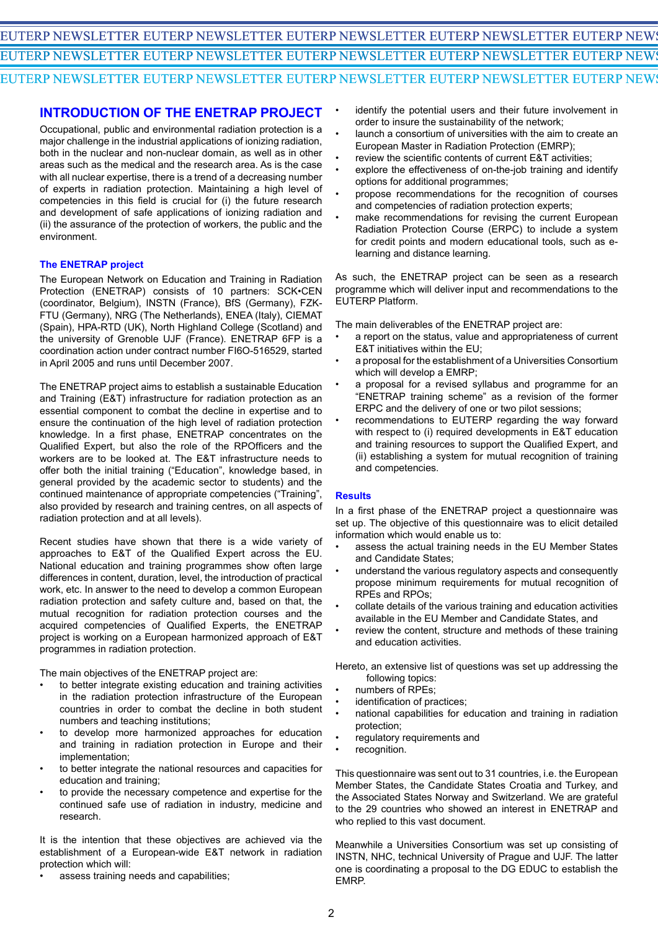# EUTERP NEWSLETTER EUTERP NEWSLETTER EUTERP NEWSLETTER EUTERP NEWSLETTER EUTERP NEWS EUTERP NEWSLETTER EUTERP NEWSLETTER EUTERP NEWSLETTER EUTERP NEWSLETTER EUTERP NEWS EUTERP NEWSLETTER EUTERP NEWSLETTER EUTERP NEWSLETTER EUTERP NEWSLETTER EUTERP NEWS

•

# **INTRODUCTION OF THE ENETRAP PROJECT**

Occupational, public and environmental radiation protection is a major challenge in the industrial applications of ionizing radiation, both in the nuclear and non-nuclear domain, as well as in other areas such as the medical and the research area. As is the case with all nuclear expertise, there is a trend of a decreasing number of experts in radiation protection. Maintaining a high level of competencies in this field is crucial for (i) the future research and development of safe applications of ionizing radiation and (ii) the assurance of the protection of workers, the public and the environment.

### **The ENETRAP project**

The European Network on Education and Training in Radiation Protection (ENETRAP) consists of 10 partners: SCK•CEN (coordinator, Belgium), INSTN (France), BfS (Germany), FZK-FTU (Germany), NRG (The Netherlands), ENEA (Italy), CIEMAT (Spain), HPA-RTD (UK), North Highland College (Scotland) and the university of Grenoble UJF (France). ENETRAP 6FP is a coordination action under contract number FI6O-516529, started in April 2005 and runs until December 2007.

The ENETRAP project aims to establish a sustainable Education and Training (E&T) infrastructure for radiation protection as an essential component to combat the decline in expertise and to ensure the continuation of the high level of radiation protection knowledge. In a first phase, ENETRAP concentrates on the Qualified Expert, but also the role of the RPOfficers and the workers are to be looked at. The E&T infrastructure needs to offer both the initial training ("Education", knowledge based, in general provided by the academic sector to students) and the continued maintenance of appropriate competencies ("Training", also provided by research and training centres, on all aspects of radiation protection and at all levels).

Recent studies have shown that there is a wide variety of approaches to E&T of the Qualified Expert across the EU. National education and training programmes show often large differences in content, duration, level, the introduction of practical work, etc. In answer to the need to develop a common European radiation protection and safety culture and, based on that, the mutual recognition for radiation protection courses and the acquired competencies of Qualified Experts, the ENETRAP project is working on a European harmonized approach of E&T programmes in radiation protection.

The main objectives of the ENETRAP project are:

- to better integrate existing education and training activities in the radiation protection infrastructure of the European countries in order to combat the decline in both student numbers and teaching institutions; •
- to develop more harmonized approaches for education and training in radiation protection in Europe and their implementation; •
- to better integrate the national resources and capacities for education and training; •
- to provide the necessary competence and expertise for the continued safe use of radiation in industry, medicine and research. •

It is the intention that these objectives are achieved via the establishment of a European-wide E&T network in radiation protection which will:

assess training needs and capabilities; •

- identify the potential users and their future involvement in order to insure the sustainability of the network;
- launch a consortium of universities with the aim to create an European Master in Radiation Protection (EMRP); •
- review the scientific contents of current E&T activities; •
- explore the effectiveness of on-the-job training and identify options for additional programmes; •
- propose recommendations for the recognition of courses and competencies of radiation protection experts; •
- make recommendations for revising the current European Radiation Protection Course (ERPC) to include a system for credit points and modern educational tools, such as elearning and distance learning. •

As such, the ENETRAP project can be seen as a research programme which will deliver input and recommendations to the EUTERP Platform.

The main deliverables of the ENETRAP project are:

- a report on the status, value and appropriateness of current E&T initiatives within the EU; •
- a proposal for the establishment of a Universities Consortium which will develop a EMRP; •
- a proposal for a revised syllabus and programme for an "ENETRAP training scheme" as a revision of the former ERPC and the delivery of one or two pilot sessions; •
- recommendations to EUTERP regarding the way forward with respect to (i) required developments in E&T education and training resources to support the Qualified Expert, and (ii) establishing a system for mutual recognition of training and competencies. •

### **Results**

In a first phase of the ENETRAP project a questionnaire was set up. The objective of this questionnaire was to elicit detailed information which would enable us to:

- assess the actual training needs in the EU Member States and Candidate States; •
- understand the various regulatory aspects and consequently propose minimum requirements for mutual recognition of RPEs and RPOs; •
- collate details of the various training and education activities available in the EU Member and Candidate States, and •
- review the content, structure and methods of these training and education activities. •

Hereto, an extensive list of questions was set up addressing the following topics:

- numbers of RPEs;
- identification of practices; • •
- national capabilities for education and training in radiation protection; •
- regulatory requirements and •
- recognition. •

This questionnaire was sent out to 31 countries, i.e. the European Member States, the Candidate States Croatia and Turkey, and the Associated States Norway and Switzerland. We are grateful to the 29 countries who showed an interest in ENETRAP and who replied to this vast document.

Meanwhile a Universities Consortium was set up consisting of INSTN, NHC, technical University of Prague and UJF. The latter one is coordinating a proposal to the DG EDUC to establish the EMRP.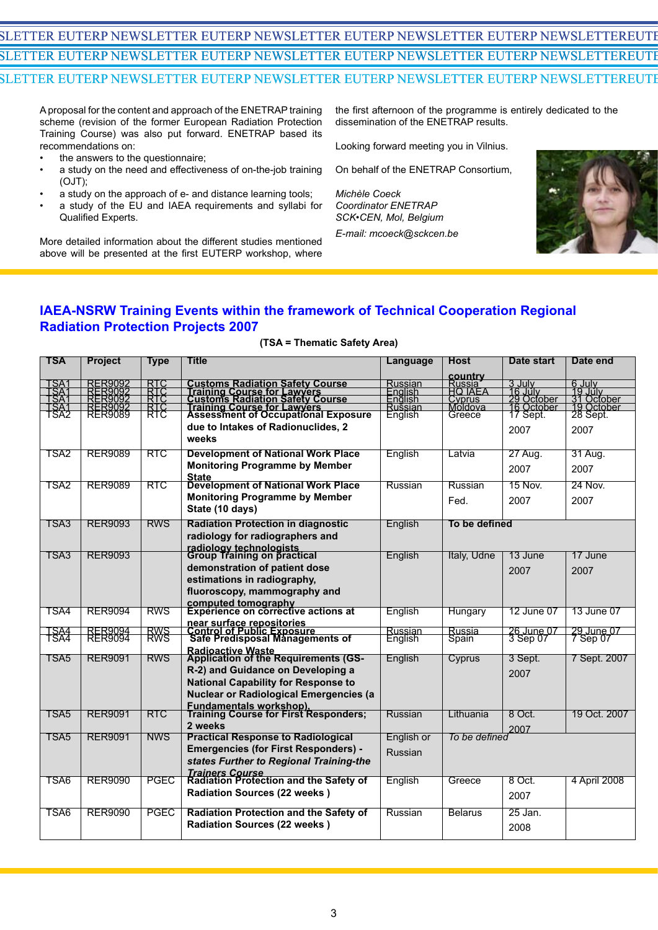# SLETTER EUTERP NEWSLETTER EUTERP NEWSLETTER EUTERP NEWSLETTER EUTERP NEWSLETTEREUTI EUTERP NEWSLETTER EUTERP NEWSLETTER EUTERP NEWSLETTER EUTERP NEWSLETTER EUTERP NEWSLETTER EUTERP NEWSLETTER EUTERP NEWSLETTER EUTERP NEWSLETTER EUTERP NEWSLETTEREUTERP EUTERP NEWSLETTER EUTERP NEWSLETTER EUTERP NEWSLETTER EUTERP NEWSLETTER EUTERP NEWSLETTER EUTERP NEWSLETTER EUTERP NEWSLETTER EUTERP NEWSLETTER EUTERP NEWSLETTEREUTERP

A proposal for the content and approach of the ENETRAP training scheme (revision of the former European Radiation Protection Training Course) was also put forward. ENETRAP based its recommendations on:

- the answers to the questionnaire; •
- a study on the need and effectiveness of on-the-job training (OJT); •
- a study on the approach of e- and distance learning tools; •
- a study of the EU and IAEA requirements and syllabi for Qualified Experts. •

More detailed information about the different studies mentioned above will be presented at the first EUTERP workshop, where

the first afternoon of the programme is entirely dedicated to the dissemination of the ENETRAP results.

Looking forward meeting you in Vilnius.

On behalf of the ENETRAP Consortium,

*Michèle Coeck Coordinator ENETRAP SCK•CEN, Mol, Belgium E-mail: mcoeck@sckcen.be*



# **IAEA-NSRW Training Events within the framework of Technical Cooperation Regional Radiation Protection Projects 2007**

| TSA                                  | <b>Project</b>                                      | Type                     | Title                                                                                                                                                                              | Language                      | Host                   | Date start                                            | Date end                                                  |
|--------------------------------------|-----------------------------------------------------|--------------------------|------------------------------------------------------------------------------------------------------------------------------------------------------------------------------------|-------------------------------|------------------------|-------------------------------------------------------|-----------------------------------------------------------|
|                                      |                                                     |                          |                                                                                                                                                                                    |                               | country                |                                                       |                                                           |
| TSAT<br>TSAT<br>TSAT<br>TSAT<br>TSA2 | RER9092<br>RER9092<br>RER9092<br>RER9092<br>RER9089 | RTC<br>RTC<br>RTC<br>RTC | <b>Customs Radiation Safety Course<br/>Training Course for Lawyers<br/>Customs Radiation Safety Course<br/>Training Course for Lawyers<br/>Assessment of Occupational Exposure</b> | Russian<br>English<br>English | Russia<br>HQ IAEA      | 3 July<br>16 July<br>29 October<br>1 <u>6</u> October | 6 July<br>19 July<br>31 October<br>19 October<br>28 Sept. |
|                                      |                                                     |                          |                                                                                                                                                                                    | Rušsian                       | Cyprus<br>Moldova      |                                                       |                                                           |
|                                      |                                                     |                          |                                                                                                                                                                                    | English                       | Greece                 | 17 Sept.                                              |                                                           |
|                                      |                                                     |                          | due to Intakes of Radionuclides, 2                                                                                                                                                 |                               |                        | 2007                                                  | 2007                                                      |
|                                      |                                                     |                          | weeks                                                                                                                                                                              |                               |                        |                                                       |                                                           |
| TSA2                                 | <b>RER9089</b>                                      | RTC                      | <b>Development of National Work Place</b>                                                                                                                                          | English                       | Latvia                 | 27 Aug.                                               | 31 Aug.                                                   |
|                                      |                                                     |                          | <b>Monitoring Programme by Member</b>                                                                                                                                              |                               |                        | 2007                                                  | 2007                                                      |
| TSA2                                 | <b>RER9089</b>                                      | <b>RTC</b>               | State<br>Development of National Work Place                                                                                                                                        | Russian                       | Russian                | <b>15 Nov.</b>                                        | 24 Nov.                                                   |
|                                      |                                                     |                          | <b>Monitoring Programme by Member</b>                                                                                                                                              |                               | Fed.                   | 2007                                                  | 2007                                                      |
|                                      |                                                     |                          | State (10 days)                                                                                                                                                                    |                               |                        |                                                       |                                                           |
| TSA3                                 | <b>RER9093</b>                                      | <b>RWS</b>               | <b>Radiation Protection in diagnostic</b>                                                                                                                                          | English                       | To be defined          |                                                       |                                                           |
|                                      |                                                     |                          | radiology for radiographers and                                                                                                                                                    |                               |                        |                                                       |                                                           |
|                                      |                                                     |                          | radiology technologists<br>Group Training on practical                                                                                                                             |                               |                        |                                                       |                                                           |
| TSA3                                 | <b>RER9093</b>                                      |                          |                                                                                                                                                                                    | English                       | Italy, Udne            | 13 June                                               | 17 June                                                   |
|                                      |                                                     |                          | demonstration of patient dose                                                                                                                                                      |                               |                        | 2007                                                  | 2007                                                      |
|                                      |                                                     |                          | estimations in radiography,                                                                                                                                                        |                               |                        |                                                       |                                                           |
|                                      |                                                     |                          | fluoroscopy, mammography and                                                                                                                                                       |                               |                        |                                                       |                                                           |
| TSA4                                 | <b>RER9094</b>                                      | <b>RWS</b>               | computed tomography<br>Experience on corrective actions at                                                                                                                         | English                       | Hungary                | 12 June 07                                            | 13 June 07                                                |
|                                      |                                                     |                          |                                                                                                                                                                                    |                               |                        |                                                       |                                                           |
| TSA4<br>TSA4                         | RER9094<br>RER9094                                  | <b>RWS</b>               | near surface repositories<br>Control of Public Exposure<br>Safe Predisposal Managements of                                                                                         | Russian<br>English            | <b>Russia</b><br>Spain | 26 June 07<br>3 Sep 07                                | 29 June 07<br>7 Sep 07                                    |
|                                      |                                                     |                          |                                                                                                                                                                                    |                               |                        |                                                       |                                                           |
| TSA5                                 | <b>RER9091</b>                                      | <b>RWS</b>               | Radioactive Waste<br>Application of the Requirements (GS-                                                                                                                          | English                       | Cyprus                 | 3 Sept.                                               | 7 Sept. 2007                                              |
|                                      |                                                     |                          | R-2) and Guidance on Developing a                                                                                                                                                  |                               |                        | 2007                                                  |                                                           |
|                                      |                                                     |                          | <b>National Capability for Response to</b>                                                                                                                                         |                               |                        |                                                       |                                                           |
|                                      |                                                     |                          | <b>Nuclear or Radiological Emergencies (a</b>                                                                                                                                      |                               |                        |                                                       |                                                           |
| TSA5                                 | <b>RER9091</b>                                      | <b>RTC</b>               | <b>Fundamentals workshop).</b><br>Training Course for First Responders;                                                                                                            | Russian                       | Lithuania              | 8 Oct.                                                | 19 Oct. 2007                                              |
|                                      |                                                     |                          | 2 weeks                                                                                                                                                                            |                               |                        | 2007                                                  |                                                           |
| TSA5                                 | <b>RER9091</b>                                      | <b>NWS</b>               | <b>Practical Response to Radiological</b>                                                                                                                                          | English or                    | To be defined          |                                                       |                                                           |
|                                      |                                                     |                          | <b>Emergencies (for First Responders) -</b>                                                                                                                                        | Russian                       |                        |                                                       |                                                           |
|                                      |                                                     |                          | states Further to Regional Training-the                                                                                                                                            |                               |                        |                                                       |                                                           |
| TSA6                                 | <b>RER9090</b>                                      | <b>PGEC</b>              | <b>Trainers Course</b><br>Radiation Protection and the Safety of                                                                                                                   |                               |                        | 8 Oct.                                                |                                                           |
|                                      |                                                     |                          |                                                                                                                                                                                    | English                       | Greece                 |                                                       | 4 April 2008                                              |
|                                      |                                                     |                          | <b>Radiation Sources (22 weeks)</b>                                                                                                                                                |                               |                        | 2007                                                  |                                                           |
| TSA6                                 | <b>RER9090</b>                                      | <b>PGEC</b>              | <b>Radiation Protection and the Safety of</b>                                                                                                                                      | Russian                       | <b>Belarus</b>         | 25 Jan.                                               |                                                           |
|                                      |                                                     |                          | <b>Radiation Sources (22 weeks)</b>                                                                                                                                                |                               |                        | 2008                                                  |                                                           |
|                                      |                                                     |                          |                                                                                                                                                                                    |                               |                        |                                                       |                                                           |

#### **(TSA = Thematic Safety Area)**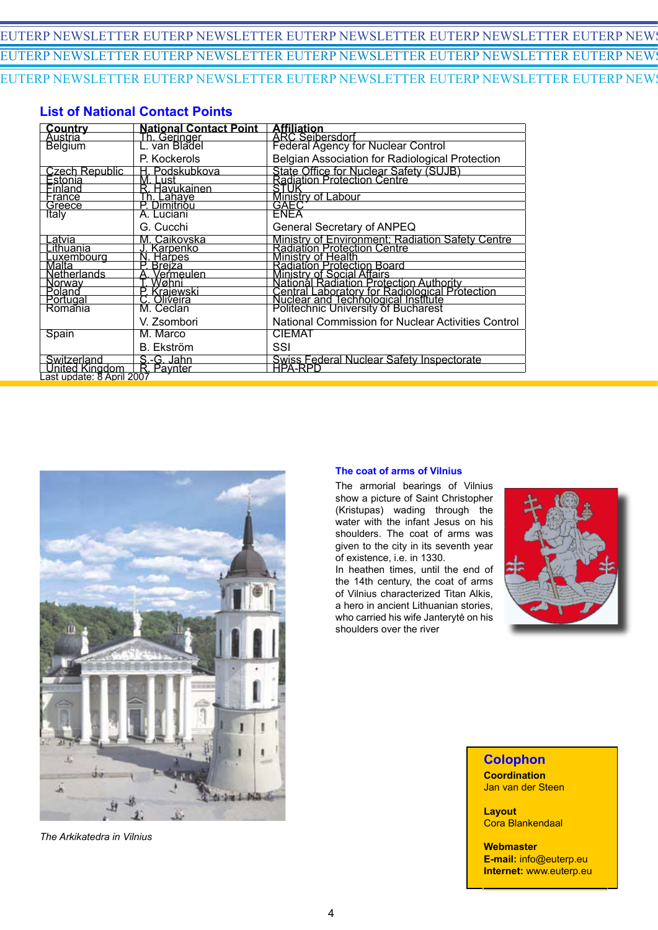# EUTERP NEWSLETTER EUTERP NEWSLETTER EUTERP NEWSLETTER EUTERP NEWSLETTER EUTERP NEWS EUTERP NEWSLETTER EUTERP NEWSLETTER EUTERP NEWSLETTER EUTERP NEWSLETTER EUTERP NEWS EUTERP NEWSLETTER EUTERP NEWSLETTER EUTERP NEWSLETTER EUTERP NEWSLETTER EUTERP NEWS

# **List of National Contact Points**

| <u>Country</u>                                           | <b>National Contact Point</b> |                                                                                                                              |  |  |  |
|----------------------------------------------------------|-------------------------------|------------------------------------------------------------------------------------------------------------------------------|--|--|--|
| Austria                                                  | Th. Geringer<br>L. van Bladel |                                                                                                                              |  |  |  |
| <b>Belgium</b>                                           |                               | <b>Affiliation</b><br>ARC Seibersdorf<br>Federal Agency for Nuclear Control                                                  |  |  |  |
|                                                          | P. Kockerols                  | Belgian Association for Radiological Protection                                                                              |  |  |  |
| <u>Czech Republic</u>                                    | Podskubkova                   | State Office for Nuclear Safety (SUJB)<br>Radiation Protection Centre                                                        |  |  |  |
| Estonia                                                  | Lust<br>Μ.                    |                                                                                                                              |  |  |  |
| Finland                                                  | R. Hävukainen                 | STUR                                                                                                                         |  |  |  |
| France                                                   | <u>Th. Lahaye</u>             | <b>Ministry of Labour</b>                                                                                                    |  |  |  |
| Greece                                                   | Dimitrióu                     | GAEC                                                                                                                         |  |  |  |
| Italy                                                    | A. Luciani                    |                                                                                                                              |  |  |  |
|                                                          | G. Cucchi                     | General Secretary of ANPEQ                                                                                                   |  |  |  |
| <u>.atvia</u>                                            | M. Caikovska                  | Ministry of Environment; Radiation Safety Centre<br>Radiation Protection Centre                                              |  |  |  |
| .ithuania                                                | Karpenko                      |                                                                                                                              |  |  |  |
| Luxembourg<br>Malta                                      | <b>Harpes</b>                 | Ministry of Health<br>Radiation Protection Board                                                                             |  |  |  |
|                                                          | Breiza                        |                                                                                                                              |  |  |  |
| Netherlands                                              | Veŕmeulen                     | Ministry of Social Affairs                                                                                                   |  |  |  |
| <u>Norwav</u>                                            | Wøhni                         | National Radiation Protection Authority                                                                                      |  |  |  |
| Polanď                                                   | P. Krajewski                  | Central Laboratory for Radiological Protection<br>Nuclear and Technological Institute<br>Politechnic University of Bucharest |  |  |  |
| Portugal                                                 | Oliveira                      |                                                                                                                              |  |  |  |
| Romania                                                  | M. Ceclan                     |                                                                                                                              |  |  |  |
|                                                          | V. Zsombori                   | National Commission for Nuclear Activities Control                                                                           |  |  |  |
| Spain                                                    | M. Marco                      | <b>CIEMAT</b>                                                                                                                |  |  |  |
|                                                          | B. Ekström                    | SSI                                                                                                                          |  |  |  |
| Switzerland                                              | S.-G. Jahn                    | Swiss Federal Nuclear Safety Inspectorate<br>HPA-RPD                                                                         |  |  |  |
|                                                          |                               |                                                                                                                              |  |  |  |
| United Kingdom   R. Paynter<br>Last update: 8 April 2007 |                               |                                                                                                                              |  |  |  |



*The Arkikatedra in Vilnius*

### **The coat of arms of Vilnius**

The armorial bearings of Vilnius show a picture of Saint Christopher (Kristupas) wading through the water with the infant Jesus on his shoulders. The coat of arms was given to the city in its seventh year of existence, i.e. in 1330. In heathen times, until the end of the 14th century, the coat of arms of Vilnius characterized Titan Alkis, a hero in ancient Lithuanian stories, who carried his wife Janterytė on his shoulders over the river



**Colophon Coordination**

Jan van der Steen **Layout** Cora Blankendaal

**Webmaster E-mail:** info@euterp.eu **Internet:** www.euterp.eu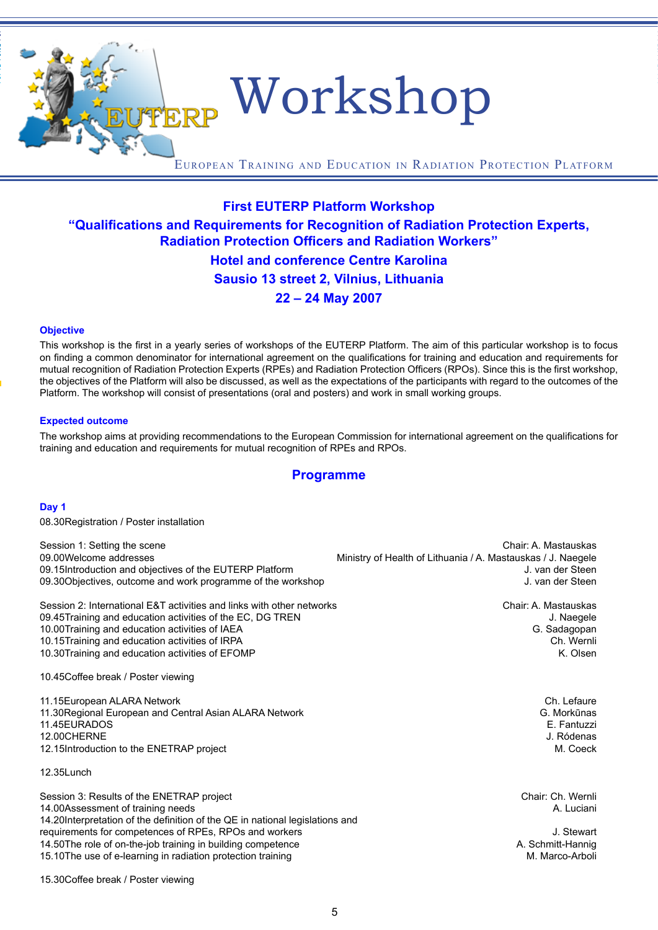EUTERP Workshop

European Training and Education in Radiation Protection Platform

# **First EUTERP Platform Workshop "Qualifications and Requirements for Recognition of Radiation Protection Experts, Radiation Protection Officers and Radiation Workers" Hotel and conference Centre Karolina Sausio 13 street 2, Vilnius, Lithuania 22 – 24 May 2007**

### **Objective**

EUTERP NEWSLETTER EUTERP NEWSLETTER EUTERP NEWSLETTER EUTERP NEWSLETTER EUTERP NEWSLETTER EUTERP NEWSLETTER EUTERP NEWSLETTER EUTERP NEWSLETTER EUTERP NEWSLETTEREUTERP  $E$ uterproneuter euterproneuter euterproneuter eurerp newsletter euterproneuter eurerproneuter euterproneuter

> This workshop is the first in a yearly series of workshops of the EUTERP Platform. The aim of this particular workshop is to focus on finding a common denominator for international agreement on the qualifications for training and education and requirements for mutual recognition of Radiation Protection Experts (RPEs) and Radiation Protection Officers (RPOs). Since this is the first workshop, the objectives of the Platform will also be discussed, as well as the expectations of the participants with regard to the outcomes of the Platform. The workshop will consist of presentations (oral and posters) and work in small working groups.

### **Expected outcome**

The workshop aims at providing recommendations to the European Commission for international agreement on the qualifications for training and education and requirements for mutual recognition of RPEs and RPOs.

### **Programme**

### **Day 1**

08.30Registration / Poster installation

| Session 1: Setting the scene                                                                                                                                   | Chair: A. Mastauskas                                         |
|----------------------------------------------------------------------------------------------------------------------------------------------------------------|--------------------------------------------------------------|
| 09.00Welcome addresses                                                                                                                                         | Ministry of Health of Lithuania / A. Mastauskas / J. Naegele |
| 09.15Introduction and objectives of the EUTERP Platform                                                                                                        | J. van der Steen                                             |
| 09.30 Objectives, outcome and work programme of the workshop                                                                                                   | J. van der Steen                                             |
| Session 2: International E&T activities and links with other networks                                                                                          | Chair: A. Mastauskas                                         |
| 09.45Training and education activities of the EC, DG TREN                                                                                                      | J. Naegele                                                   |
| 10.00Training and education activities of IAEA                                                                                                                 | G. Sadagopan                                                 |
| 10.15Training and education activities of IRPA                                                                                                                 | Ch. Wernli                                                   |
| 10.30Training and education activities of EFOMP                                                                                                                | K. Olsen                                                     |
| 10.45 Coffee break / Poster viewing                                                                                                                            |                                                              |
| 11.15 European ALARA Network                                                                                                                                   | Ch. Lefaure                                                  |
| 11.30 Regional European and Central Asian ALARA Network                                                                                                        | G. Morkūnas                                                  |
| 11.45EURADOS                                                                                                                                                   | E. Fantuzzi                                                  |
| 12.00CHERNE                                                                                                                                                    | J. Ródenas                                                   |
| 12.15 Introduction to the ENETRAP project                                                                                                                      | M. Coeck                                                     |
| 12.35Lunch                                                                                                                                                     |                                                              |
| Session 3: Results of the ENETRAP project<br>14.00Assessment of training needs<br>14.20Interpretation of the definition of the QE in national legislations and | Chair: Ch. Wernli<br>A. Luciani                              |
| requirements for competences of RPEs, RPOs and workers                                                                                                         | J. Stewart                                                   |
| 14.50The role of on-the-job training in building competence                                                                                                    | A. Schmitt-Hannig                                            |
| 15.10The use of e-learning in radiation protection training                                                                                                    | M. Marco-Arboli                                              |

15.30Coffee break / Poster viewing